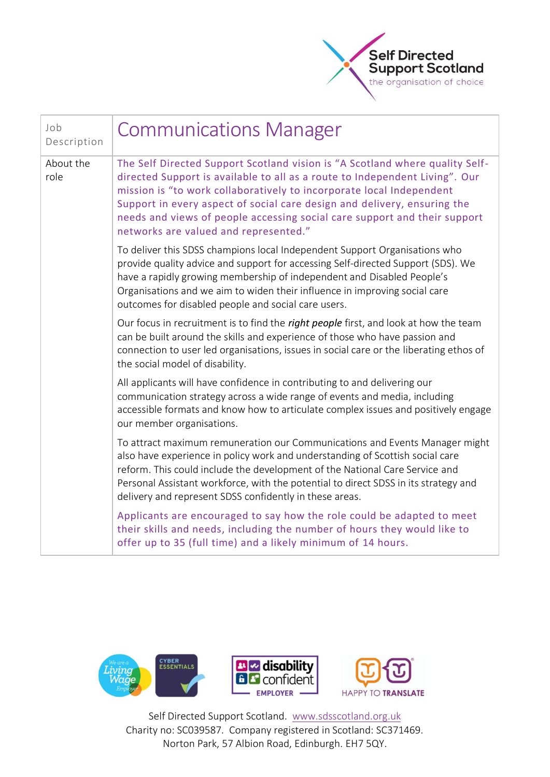

| Job<br>Description | <b>Communications Manager</b>                                                                                                                                                                                                                                                                                                                                                                                                         |
|--------------------|---------------------------------------------------------------------------------------------------------------------------------------------------------------------------------------------------------------------------------------------------------------------------------------------------------------------------------------------------------------------------------------------------------------------------------------|
| About the<br>role  | The Self Directed Support Scotland vision is "A Scotland where quality Self-<br>directed Support is available to all as a route to Independent Living". Our<br>mission is "to work collaboratively to incorporate local Independent<br>Support in every aspect of social care design and delivery, ensuring the<br>needs and views of people accessing social care support and their support<br>networks are valued and represented." |
|                    | To deliver this SDSS champions local Independent Support Organisations who<br>provide quality advice and support for accessing Self-directed Support (SDS). We<br>have a rapidly growing membership of independent and Disabled People's<br>Organisations and we aim to widen their influence in improving social care<br>outcomes for disabled people and social care users.                                                         |
|                    | Our focus in recruitment is to find the right people first, and look at how the team<br>can be built around the skills and experience of those who have passion and<br>connection to user led organisations, issues in social care or the liberating ethos of<br>the social model of disability.                                                                                                                                      |
|                    | All applicants will have confidence in contributing to and delivering our<br>communication strategy across a wide range of events and media, including<br>accessible formats and know how to articulate complex issues and positively engage<br>our member organisations.                                                                                                                                                             |
|                    | To attract maximum remuneration our Communications and Events Manager might<br>also have experience in policy work and understanding of Scottish social care<br>reform. This could include the development of the National Care Service and<br>Personal Assistant workforce, with the potential to direct SDSS in its strategy and<br>delivery and represent SDSS confidently in these areas.                                         |
|                    | Applicants are encouraged to say how the role could be adapted to meet<br>their skills and needs, including the number of hours they would like to<br>offer up to 35 (full time) and a likely minimum of 14 hours.                                                                                                                                                                                                                    |

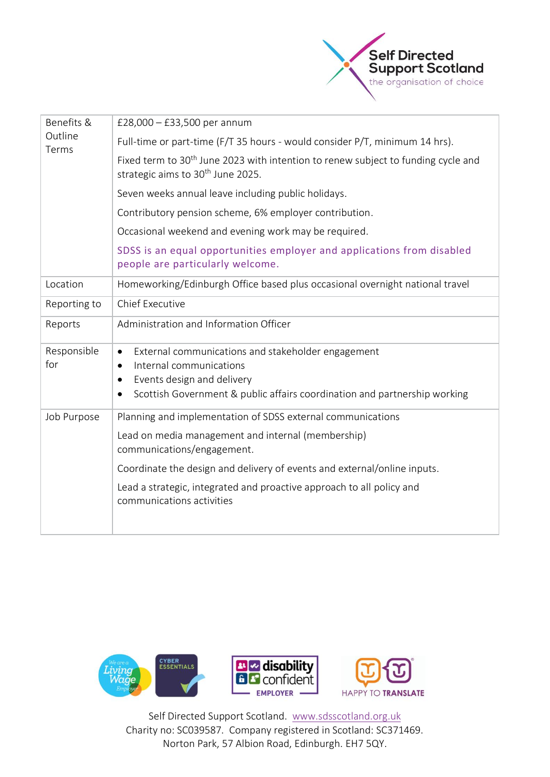

| Benefits &<br>Outline<br>Terms | £28,000 $-$ £33,500 per annum                                                                                                                                                                              |
|--------------------------------|------------------------------------------------------------------------------------------------------------------------------------------------------------------------------------------------------------|
|                                | Full-time or part-time (F/T 35 hours - would consider P/T, minimum 14 hrs).                                                                                                                                |
|                                | Fixed term to 30 <sup>th</sup> June 2023 with intention to renew subject to funding cycle and<br>strategic aims to 30 <sup>th</sup> June 2025.                                                             |
|                                | Seven weeks annual leave including public holidays.                                                                                                                                                        |
|                                | Contributory pension scheme, 6% employer contribution.                                                                                                                                                     |
|                                | Occasional weekend and evening work may be required.                                                                                                                                                       |
|                                | SDSS is an equal opportunities employer and applications from disabled<br>people are particularly welcome.                                                                                                 |
| Location                       | Homeworking/Edinburgh Office based plus occasional overnight national travel                                                                                                                               |
| Reporting to                   | <b>Chief Executive</b>                                                                                                                                                                                     |
| Reports                        | Administration and Information Officer                                                                                                                                                                     |
| Responsible<br>for             | External communications and stakeholder engagement<br>٠<br>Internal communications<br>Events design and delivery<br>$\bullet$<br>Scottish Government & public affairs coordination and partnership working |
| Job Purpose                    | Planning and implementation of SDSS external communications                                                                                                                                                |
|                                | Lead on media management and internal (membership)<br>communications/engagement.                                                                                                                           |
|                                | Coordinate the design and delivery of events and external/online inputs.                                                                                                                                   |
|                                | Lead a strategic, integrated and proactive approach to all policy and<br>communications activities                                                                                                         |
|                                |                                                                                                                                                                                                            |

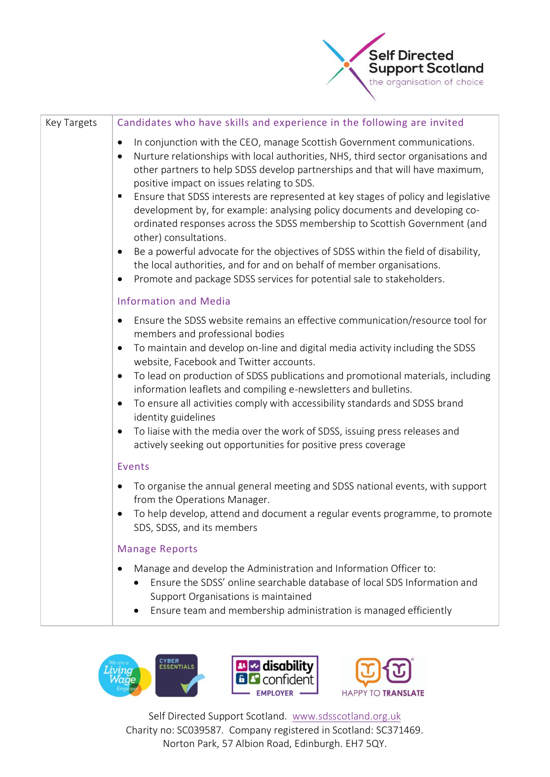

| Key Targets | Candidates who have skills and experience in the following are invited                                                                                                                                                                                                                                                                                                                                                                                                                                                                                                                                                                                                                                                                                                                                                                                                |
|-------------|-----------------------------------------------------------------------------------------------------------------------------------------------------------------------------------------------------------------------------------------------------------------------------------------------------------------------------------------------------------------------------------------------------------------------------------------------------------------------------------------------------------------------------------------------------------------------------------------------------------------------------------------------------------------------------------------------------------------------------------------------------------------------------------------------------------------------------------------------------------------------|
|             | In conjunction with the CEO, manage Scottish Government communications.<br>$\bullet$<br>Nurture relationships with local authorities, NHS, third sector organisations and<br>$\bullet$<br>other partners to help SDSS develop partnerships and that will have maximum,<br>positive impact on issues relating to SDS.<br>Ensure that SDSS interests are represented at key stages of policy and legislative<br>п<br>development by, for example: analysing policy documents and developing co-<br>ordinated responses across the SDSS membership to Scottish Government (and<br>other) consultations.<br>Be a powerful advocate for the objectives of SDSS within the field of disability,<br>$\bullet$<br>the local authorities, and for and on behalf of member organisations.<br>Promote and package SDSS services for potential sale to stakeholders.<br>$\bullet$ |
|             | <b>Information and Media</b>                                                                                                                                                                                                                                                                                                                                                                                                                                                                                                                                                                                                                                                                                                                                                                                                                                          |
|             | Ensure the SDSS website remains an effective communication/resource tool for<br>$\bullet$<br>members and professional bodies<br>To maintain and develop on-line and digital media activity including the SDSS<br>$\bullet$<br>website, Facebook and Twitter accounts.<br>To lead on production of SDSS publications and promotional materials, including<br>$\bullet$<br>information leaflets and compiling e-newsletters and bulletins.<br>To ensure all activities comply with accessibility standards and SDSS brand<br>$\bullet$<br>identity guidelines<br>To liaise with the media over the work of SDSS, issuing press releases and<br>$\bullet$<br>actively seeking out opportunities for positive press coverage                                                                                                                                              |
|             | Events                                                                                                                                                                                                                                                                                                                                                                                                                                                                                                                                                                                                                                                                                                                                                                                                                                                                |
|             | To organise the annual general meeting and SDSS national events, with support<br>٠<br>from the Operations Manager.<br>To help develop, attend and document a regular events programme, to promote<br>٠<br>SDS, SDSS, and its members                                                                                                                                                                                                                                                                                                                                                                                                                                                                                                                                                                                                                                  |
|             | <b>Manage Reports</b>                                                                                                                                                                                                                                                                                                                                                                                                                                                                                                                                                                                                                                                                                                                                                                                                                                                 |
|             | Manage and develop the Administration and Information Officer to:<br>$\bullet$<br>Ensure the SDSS' online searchable database of local SDS Information and<br>Support Organisations is maintained<br>Ensure team and membership administration is managed efficiently                                                                                                                                                                                                                                                                                                                                                                                                                                                                                                                                                                                                 |



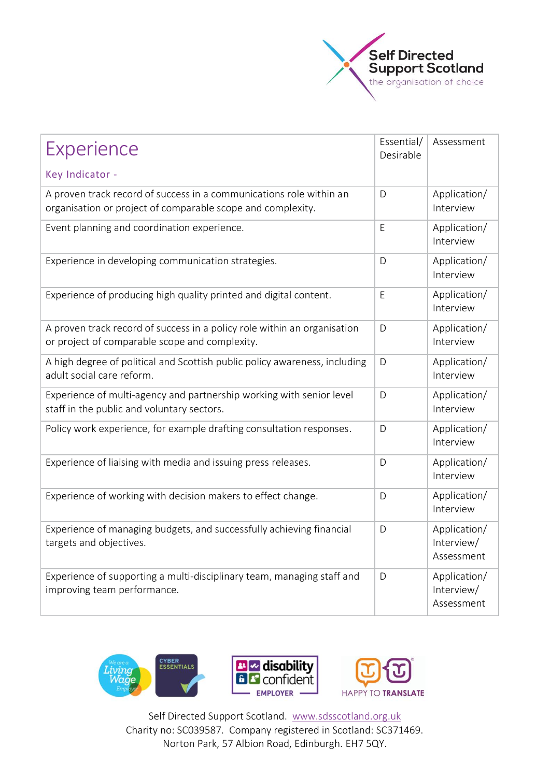

| Experience<br>Key Indicator -                                                                                                      |   | Assessment                               |
|------------------------------------------------------------------------------------------------------------------------------------|---|------------------------------------------|
| A proven track record of success in a communications role within an<br>organisation or project of comparable scope and complexity. |   | Application/<br>Interview                |
| Event planning and coordination experience.                                                                                        |   | Application/<br>Interview                |
| Experience in developing communication strategies.                                                                                 | D | Application/<br>Interview                |
| Experience of producing high quality printed and digital content.                                                                  | E | Application/<br>Interview                |
| A proven track record of success in a policy role within an organisation<br>or project of comparable scope and complexity.         | D | Application/<br>Interview                |
| A high degree of political and Scottish public policy awareness, including<br>adult social care reform.                            | D | Application/<br>Interview                |
| Experience of multi-agency and partnership working with senior level<br>staff in the public and voluntary sectors.                 |   | Application/<br>Interview                |
| Policy work experience, for example drafting consultation responses.                                                               | D | Application/<br>Interview                |
| Experience of liaising with media and issuing press releases.                                                                      | D | Application/<br>Interview                |
| Experience of working with decision makers to effect change.                                                                       | D | Application/<br>Interview                |
| Experience of managing budgets, and successfully achieving financial<br>targets and objectives.                                    |   | Application/<br>Interview/<br>Assessment |
| Experience of supporting a multi-disciplinary team, managing staff and<br>improving team performance.                              | D | Application/<br>Interview/<br>Assessment |



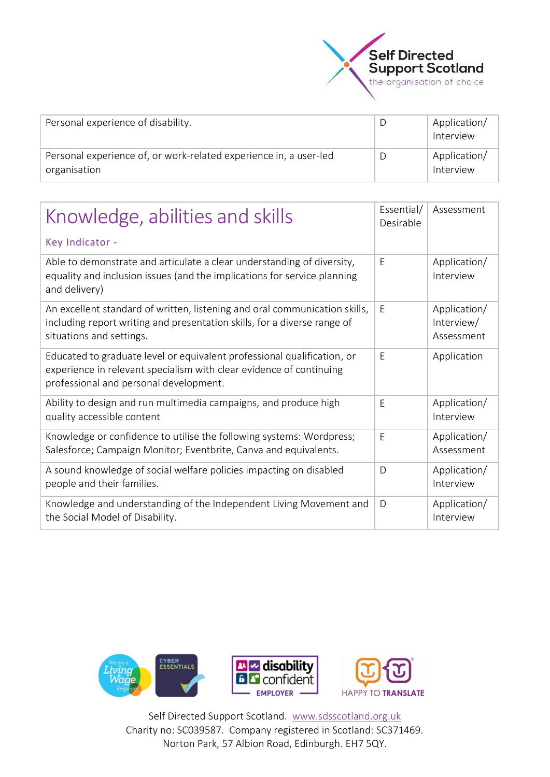

| Personal experience of disability.                                                | Application/<br>Interview |
|-----------------------------------------------------------------------------------|---------------------------|
| Personal experience of, or work-related experience in, a user-led<br>organisation | Application/<br>Interview |

| Knowledge, abilities and skills                                                                                                                                                          |              | Assessment                               |
|------------------------------------------------------------------------------------------------------------------------------------------------------------------------------------------|--------------|------------------------------------------|
| Key Indicator -                                                                                                                                                                          |              |                                          |
| Able to demonstrate and articulate a clear understanding of diversity,<br>equality and inclusion issues (and the implications for service planning<br>and delivery)                      | E            | Application/<br>Interview                |
| An excellent standard of written, listening and oral communication skills,<br>including report writing and presentation skills, for a diverse range of<br>situations and settings.       | E            | Application/<br>Interview/<br>Assessment |
| Educated to graduate level or equivalent professional qualification, or<br>experience in relevant specialism with clear evidence of continuing<br>professional and personal development. | E            | Application                              |
| Ability to design and run multimedia campaigns, and produce high<br>quality accessible content                                                                                           | E            | Application/<br>Interview                |
| Knowledge or confidence to utilise the following systems: Wordpress;<br>Salesforce; Campaign Monitor; Eventbrite, Canva and equivalents.                                                 | E            | Application/<br>Assessment               |
| A sound knowledge of social welfare policies impacting on disabled<br>people and their families.                                                                                         | $\mathsf{D}$ | Application/<br>Interview                |
| Knowledge and understanding of the Independent Living Movement and<br>the Social Model of Disability.                                                                                    | D            | Application/<br>Interview                |